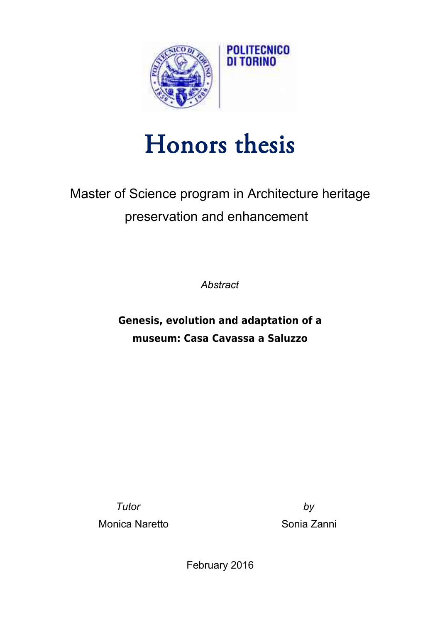

## Honors thesis

## Master of Science program in Architecture heritage preservation and enhancement

*Abstract*

**Genesis, evolution and adaptation of a museum: Casa Cavassa a Saluzzo**

*Tutor by* Monica Naretto **National Sonia Zanni** 

February 2016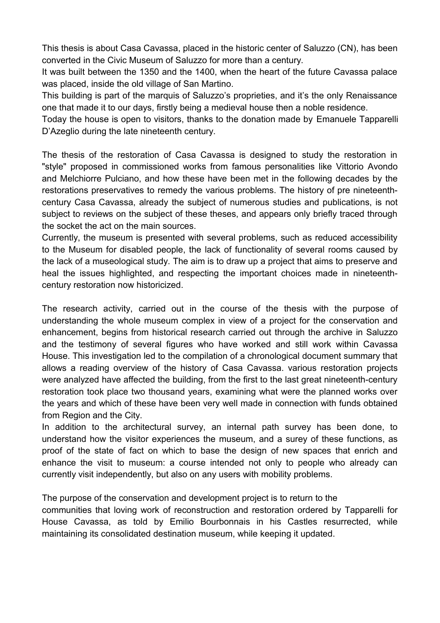This thesis is about Casa Cavassa, placed in the historic center of Saluzzo (CN), has been converted in the Civic Museum of Saluzzo for more than a century.

It was built between the 1350 and the 1400, when the heart of the future Cavassa palace was placed, inside the old village of San Martino.

This building is part of the marquis of Saluzzo's proprieties, and it's the only Renaissance one that made it to our days, firstly being a medieval house then a noble residence.

Today the house is open to visitors, thanks to the donation made by Emanuele Tapparelli D'Azeglio during the late nineteenth century.

The thesis of the restoration of Casa Cavassa is designed to study the restoration in "style" proposed in commissioned works from famous personalities like Vittorio Avondo and Melchiorre Pulciano, and how these have been met in the following decades by the restorations preservatives to remedy the various problems. The history of pre nineteenthcentury Casa Cavassa, already the subject of numerous studies and publications, is not subject to reviews on the subject of these theses, and appears only briefly traced through the socket the act on the main sources.

Currently, the museum is presented with several problems, such as reduced accessibility to the Museum for disabled people, the lack of functionality of several rooms caused by the lack of a museological study. The aim is to draw up a project that aims to preserve and heal the issues highlighted, and respecting the important choices made in nineteenthcentury restoration now historicized.

The research activity, carried out in the course of the thesis with the purpose of understanding the whole museum complex in view of a project for the conservation and enhancement, begins from historical research carried out through the archive in Saluzzo and the testimony of several figures who have worked and still work within Cavassa House. This investigation led to the compilation of a chronological document summary that allows a reading overview of the history of Casa Cavassa. various restoration projects were analyzed have affected the building, from the first to the last great nineteenth-century restoration took place two thousand years, examining what were the planned works over the years and which of these have been very well made in connection with funds obtained from Region and the City.

In addition to the architectural survey, an internal path survey has been done, to understand how the visitor experiences the museum, and a surey of these functions, as proof of the state of fact on which to base the design of new spaces that enrich and enhance the visit to museum: a course intended not only to people who already can currently visit independently, but also on any users with mobility problems.

The purpose of the conservation and development project is to return to the

communities that loving work of reconstruction and restoration ordered by Tapparelli for House Cavassa, as told by Emilio Bourbonnais in his Castles resurrected, while maintaining its consolidated destination museum, while keeping it updated.